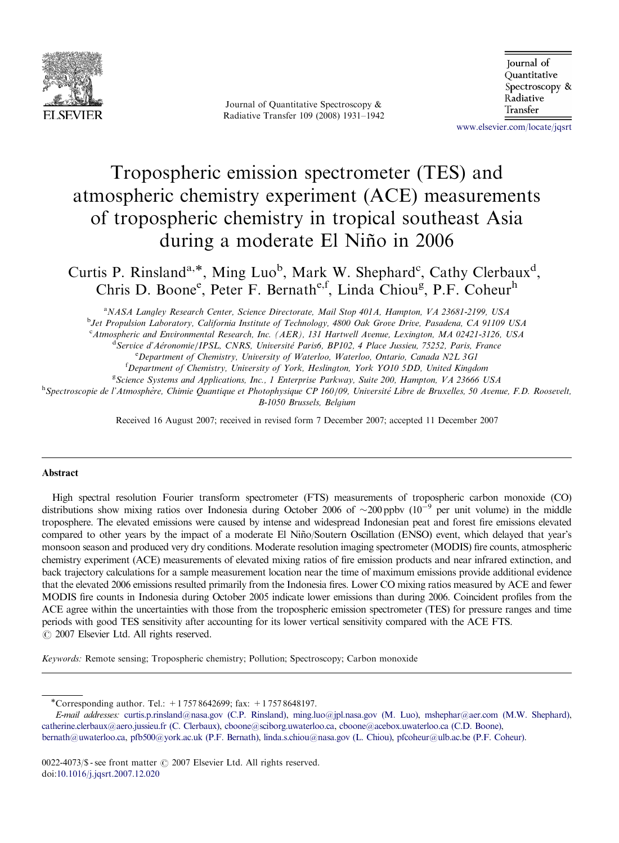

Journal of Quantitative Spectroscopy & Radiative Transfer 109 (2008) 1931–1942

Journal of Ouantitative Spectroscopy & Radiative Transfer

<www.elsevier.com/locate/jqsrt>

# Tropospheric emission spectrometer (TES) and atmospheric chemistry experiment (ACE) measurements of tropospheric chemistry in tropical southeast Asia during a moderate El Niño in 2006

Curtis P. Rinsland<sup>a,\*</sup>, Ming Luo<sup>b</sup>, Mark W. Shephard<sup>c</sup>, Cathy Clerbaux<sup>d</sup>, Chris D. Boone<sup>e</sup>, Peter F. Bernath<sup>e,f</sup>, Linda Chiou<sup>g</sup>, P.F. Coheur<sup>h</sup>

<sup>a</sup>NASA Langley Research Center, Science Directorate, Mail Stop 401A, Hampton, VA 23681-2199, USA

<sup>b</sup>Jet Propulsion Laboratory, California Institute of Technology, 4800 Oak Grove Drive, Pasadena, CA 91109 USA

<sup>c</sup> Atmospheric and Environmental Research, Inc. (AER), 131 Hartwell Avenue, Lexington, MA 02421-3126, USA

<sup>d</sup> Service d'Aéronomie/IPSL, CNRS, Université Paris6, BP102, 4 Place Jussieu, 75252, Paris, France

<sup>e</sup> Department of Chemistry, University of Waterloo, Waterloo, Ontario, Canada N2L 3G1

<sup>f</sup>Department of Chemistry, University of York, Heslington, York YO10 5DD, United Kingdom

<sup>g</sup>Science Systems and Applications, Inc., 1 Enterprise Parkway, Suite 200, Hampton, VA 23666 USA

n<br>
<sup>h</sup>Spectroscopie de l'Atmosphère, Chimie Quantique et Photophysique CP 160/09, Université Libre de Bruxelles, 50 Avenue, F.D. Roosevelt, B-1050 Brussels, Belgium

Received 16 August 2007; received in revised form 7 December 2007; accepted 11 December 2007

# Abstract

High spectral resolution Fourier transform spectrometer (FTS) measurements of tropospheric carbon monoxide (CO) distributions show mixing ratios over Indonesia during October 2006 of  $\sim$ 200 ppbv (10<sup>-9</sup> per unit volume) in the middle troposphere. The elevated emissions were caused by intense and widespread Indonesian peat and forest fire emissions elevated compared to other years by the impact of a moderate El Niño/Soutern Oscillation (ENSO) event, which delayed that year's monsoon season and produced very dry conditions. Moderate resolution imaging spectrometer (MODIS) fire counts, atmospheric chemistry experiment (ACE) measurements of elevated mixing ratios of fire emission products and near infrared extinction, and back trajectory calculations for a sample measurement location near the time of maximum emissions provide additional evidence that the elevated 2006 emissions resulted primarily from the Indonesia fires. Lower CO mixing ratios measured by ACE and fewer MODIS fire counts in Indonesia during October 2005 indicate lower emissions than during 2006. Coincident profiles from the ACE agree within the uncertainties with those from the tropospheric emission spectrometer (TES) for pressure ranges and time periods with good TES sensitivity after accounting for its lower vertical sensitivity compared with the ACE FTS.  $\odot$  2007 Elsevier Ltd. All rights reserved.

Keywords: Remote sensing; Tropospheric chemistry; Pollution; Spectroscopy; Carbon monoxide

<sup>\*</sup>Corresponding author. Tel.: +17578642699; fax: +17578648197.

E-mail addresses: [curtis.p.rinsland@nasa.gov \(C.P. Rinsland\),](mailto:curtis.p.rinsland@nasa.gov) [ming.luo@jpl.nasa.gov \(M. Luo\),](mailto:ming.luo@jpl.nasa.gov) [mshephar@aer.com \(M.W. Shephard\),](mailto:mshephar@aer.com) [catherine.clerbaux@aero.jussieu.fr \(C. Clerbaux\)](mailto:catherine.clerbaux@aero.jussieu.fr), [cboone@sciborg.uwaterloo.ca](mailto:cboone@sciborg.uwaterloo.ca,), [cboone@acebox.uwaterloo.ca \(C.D. Boone\)](mailto:cboone@acebox.uwaterloo.ca), [bernath@uwaterloo.ca](mailto:bernath@uwaterloo.ca,), [pfb500@york.ac.uk \(P.F. Bernath\)](mailto:pfb500@york.ac.uk), [linda.s.chiou@nasa.gov \(L. Chiou\),](mailto:linda.s.chiou@nasa.gov) [pfcoheur@ulb.ac.be \(P.F. Coheur\)](mailto:pfcoheur@ulb.ac.be).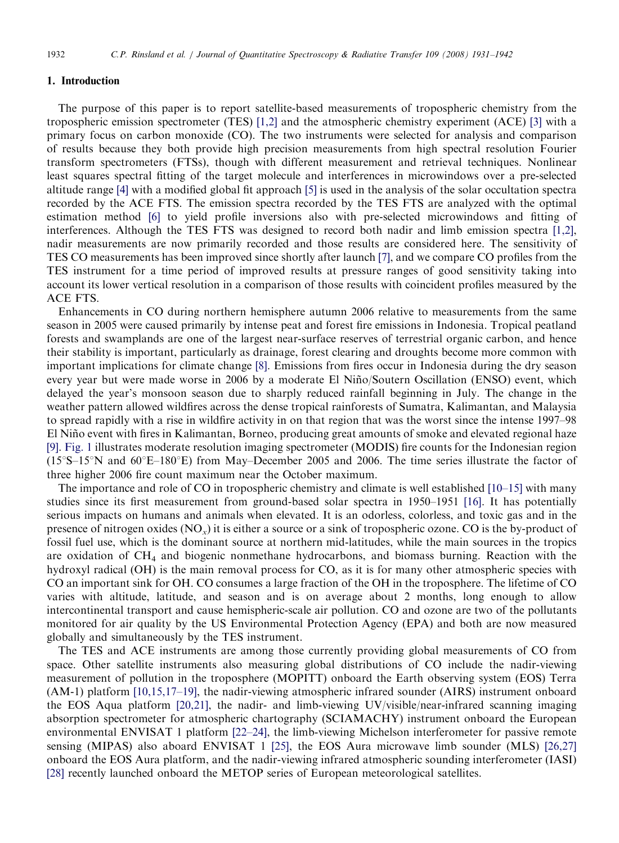#### 1. Introduction

The purpose of this paper is to report satellite-based measurements of tropospheric chemistry from the tropospheric emission spectrometer (TES) [\[1,2\]](#page-9-0) and the atmospheric chemistry experiment (ACE) [\[3\]](#page-9-0) with a primary focus on carbon monoxide (CO). The two instruments were selected for analysis and comparison of results because they both provide high precision measurements from high spectral resolution Fourier transform spectrometers (FTSs), though with different measurement and retrieval techniques. Nonlinear least squares spectral fitting of the target molecule and interferences in microwindows over a pre-selected altitude range [\[4\]](#page-10-0) with a modified global fit approach [\[5\]](#page-10-0) is used in the analysis of the solar occultation spectra recorded by the ACE FTS. The emission spectra recorded by the TES FTS are analyzed with the optimal estimation method [\[6\]](#page-10-0) to yield profile inversions also with pre-selected microwindows and fitting of interferences. Although the TES FTS was designed to record both nadir and limb emission spectra [\[1,2\],](#page-9-0) nadir measurements are now primarily recorded and those results are considered here. The sensitivity of TES CO measurements has been improved since shortly after launch [\[7\]](#page-10-0), and we compare CO profiles from the TES instrument for a time period of improved results at pressure ranges of good sensitivity taking into account its lower vertical resolution in a comparison of those results with coincident profiles measured by the ACE FTS.

Enhancements in CO during northern hemisphere autumn 2006 relative to measurements from the same season in 2005 were caused primarily by intense peat and forest fire emissions in Indonesia. Tropical peatland forests and swamplands are one of the largest near-surface reserves of terrestrial organic carbon, and hence their stability is important, particularly as drainage, forest clearing and droughts become more common with important implications for climate change [\[8\]](#page-10-0). Emissions from fires occur in Indonesia during the dry season every year but were made worse in 2006 by a moderate El Niño/Soutern Oscillation (ENSO) event, which delayed the year's monsoon season due to sharply reduced rainfall beginning in July. The change in the weather pattern allowed wildfires across the dense tropical rainforests of Sumatra, Kalimantan, and Malaysia to spread rapidly with a rise in wildfire activity in on that region that was the worst since the intense 1997–98 El Niño event with fires in Kalimantan, Borneo, producing great amounts of smoke and elevated regional haze [\[9\].](#page-10-0) [Fig. 1](#page-2-0) illustrates moderate resolution imaging spectrometer (MODIS) fire counts for the Indonesian region  $(15^{\circ}S-15^{\circ}N$  and  $60^{\circ}E-180^{\circ}E)$  from May–December 2005 and 2006. The time series illustrate the factor of three higher 2006 fire count maximum near the October maximum.

The importance and role of CO in tropospheric chemistry and climate is well established [\[10–15\]](#page-10-0) with many studies since its first measurement from ground-based solar spectra in 1950–1951 [\[16\].](#page-10-0) It has potentially serious impacts on humans and animals when elevated. It is an odorless, colorless, and toxic gas and in the presence of nitrogen oxides  $(NO_x)$  it is either a source or a sink of tropospheric ozone. CO is the by-product of fossil fuel use, which is the dominant source at northern mid-latitudes, while the main sources in the tropics are oxidation of  $CH<sub>4</sub>$  and biogenic nonmethane hydrocarbons, and biomass burning. Reaction with the hydroxyl radical (OH) is the main removal process for CO, as it is for many other atmospheric species with CO an important sink for OH. CO consumes a large fraction of the OH in the troposphere. The lifetime of CO varies with altitude, latitude, and season and is on average about 2 months, long enough to allow intercontinental transport and cause hemispheric-scale air pollution. CO and ozone are two of the pollutants monitored for air quality by the US Environmental Protection Agency (EPA) and both are now measured globally and simultaneously by the TES instrument.

The TES and ACE instruments are among those currently providing global measurements of CO from space. Other satellite instruments also measuring global distributions of CO include the nadir-viewing measurement of pollution in the troposphere (MOPITT) onboard the Earth observing system (EOS) Terra (AM-1) platform [\[10,15,17–19\]](#page-10-0), the nadir-viewing atmospheric infrared sounder (AIRS) instrument onboard the EOS Aqua platform [\[20,21\]](#page-10-0), the nadir- and limb-viewing UV/visible/near-infrared scanning imaging absorption spectrometer for atmospheric chartography (SCIAMACHY) instrument onboard the European environmental ENVISAT 1 platform [\[22–24\],](#page-10-0) the limb-viewing Michelson interferometer for passive remote sensing (MIPAS) also aboard ENVISAT 1 [\[25\]](#page-10-0), the EOS Aura microwave limb sounder (MLS) [\[26,27\]](#page-10-0) onboard the EOS Aura platform, and the nadir-viewing infrared atmospheric sounding interferometer (IASI) [\[28\]](#page-10-0) recently launched onboard the METOP series of European meteorological satellites.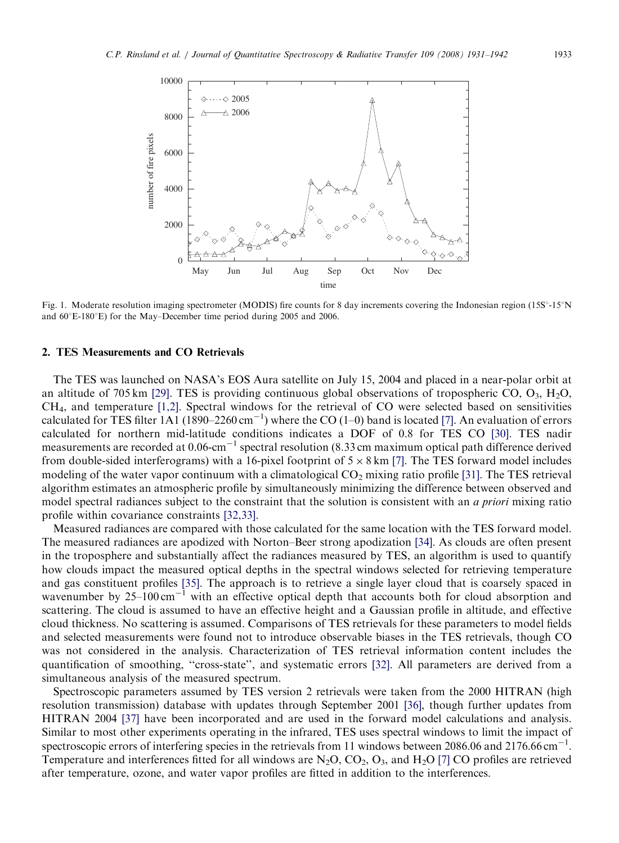<span id="page-2-0"></span>

Fig. 1. Moderate resolution imaging spectrometer (MODIS) fire counts for 8 day increments covering the Indonesian region (15S°-15°N and  $60^{\circ}$ E-180 $^{\circ}$ E) for the May–December time period during 2005 and 2006.

# 2. TES Measurements and CO Retrievals

The TES was launched on NASA's EOS Aura satellite on July 15, 2004 and placed in a near-polar orbit at an altitude of 705 km [\[29\]](#page-10-0). TES is providing continuous global observations of tropospheric CO,  $O_3$ ,  $H_2O$ , CH4, and temperature [\[1,2\]](#page-9-0). Spectral windows for the retrieval of CO were selected based on sensitivities calculated for TES filter 1A1 (1890–2260 cm<sup>-1</sup>) where the CO (1–0) band is located [\[7\]](#page-10-0). An evaluation of errors calculated for northern mid-latitude conditions indicates a DOF of 0.8 for TES CO [\[30\].](#page-10-0) TES nadir measurements are recorded at  $0.06\text{-cm}^{-1}$  spectral resolution (8.33 cm maximum optical path difference derived from double-sided interferograms) with a 16-pixel footprint of  $5 \times 8$  km [\[7\].](#page-10-0) The TES forward model includes modeling of the water vapor continuum with a climatological  $CO_2$  mixing ratio profile [\[31\].](#page-10-0) The TES retrieval algorithm estimates an atmospheric profile by simultaneously minimizing the difference between observed and model spectral radiances subject to the constraint that the solution is consistent with an *a priori* mixing ratio profile within covariance constraints [\[32,33\]](#page-10-0).

Measured radiances are compared with those calculated for the same location with the TES forward model. The measured radiances are apodized with Norton–Beer strong apodization [\[34\].](#page-10-0) As clouds are often present in the troposphere and substantially affect the radiances measured by TES, an algorithm is used to quantify how clouds impact the measured optical depths in the spectral windows selected for retrieving temperature and gas constituent profiles [\[35\].](#page-10-0) The approach is to retrieve a single layer cloud that is coarsely spaced in wavenumber by  $25-100 \text{ cm}^{-1}$  with an effective optical depth that accounts both for cloud absorption and scattering. The cloud is assumed to have an effective height and a Gaussian profile in altitude, and effective cloud thickness. No scattering is assumed. Comparisons of TES retrievals for these parameters to model fields and selected measurements were found not to introduce observable biases in the TES retrievals, though CO was not considered in the analysis. Characterization of TES retrieval information content includes the quantification of smoothing, ''cross-state'', and systematic errors [\[32\].](#page-10-0) All parameters are derived from a simultaneous analysis of the measured spectrum.

Spectroscopic parameters assumed by TES version 2 retrievals were taken from the 2000 HITRAN (high resolution transmission) database with updates through September 2001 [\[36\],](#page-10-0) though further updates from HITRAN 2004 [\[37\]](#page-11-0) have been incorporated and are used in the forward model calculations and analysis. Similar to most other experiments operating in the infrared, TES uses spectral windows to limit the impact of spectroscopic errors of interfering species in the retrievals from 11 windows between 2086.06 and 2176.66 cm<sup>-1</sup>. Temperature and interferences fitted for all windows are  $N_2O$ ,  $CO_2$ ,  $O_3$ , and  $H_2O$  [\[7\]](#page-10-0) CO profiles are retrieved after temperature, ozone, and water vapor profiles are fitted in addition to the interferences.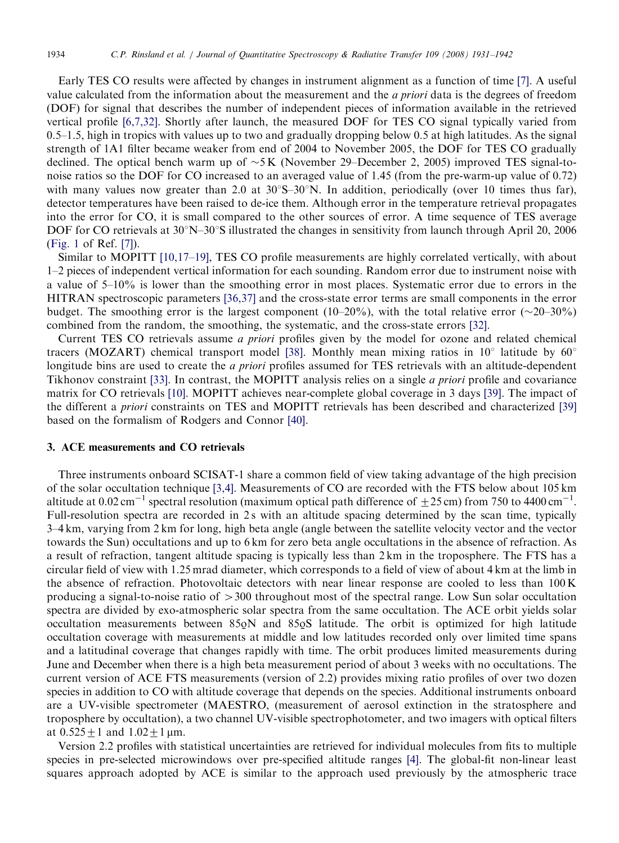Early TES CO results were affected by changes in instrument alignment as a function of time [\[7\].](#page-10-0) A useful value calculated from the information about the measurement and the a priori data is the degrees of freedom (DOF) for signal that describes the number of independent pieces of information available in the retrieved vertical profile [\[6,7,32\].](#page-10-0) Shortly after launch, the measured DOF for TES CO signal typically varied from 0.5–1.5, high in tropics with values up to two and gradually dropping below 0.5 at high latitudes. As the signal strength of 1A1 filter became weaker from end of 2004 to November 2005, the DOF for TES CO gradually declined. The optical bench warm up of  $\sim 5$  K (November 29–December 2, 2005) improved TES signal-tonoise ratios so the DOF for CO increased to an averaged value of 1.45 (from the pre-warm-up value of 0.72) with many values now greater than 2.0 at  $30^{\circ}S-30^{\circ}N$ . In addition, periodically (over 10 times thus far), detector temperatures have been raised to de-ice them. Although error in the temperature retrieval propagates into the error for CO, it is small compared to the other sources of error. A time sequence of TES average DOF for CO retrievals at  $30^{\circ}$ N– $30^{\circ}$ S illustrated the changes in sensitivity from launch through April 20, 2006 ([Fig. 1](#page-2-0) of Ref. [\[7\]](#page-10-0)).

Similar to MOPITT [\[10,17–19\],](#page-10-0) TES CO profile measurements are highly correlated vertically, with about 1–2 pieces of independent vertical information for each sounding. Random error due to instrument noise with a value of 5–10% is lower than the smoothing error in most places. Systematic error due to errors in the HITRAN spectroscopic parameters [\[36,37\]](#page-10-0) and the cross-state error terms are small components in the error budget. The smoothing error is the largest component (10–20%), with the total relative error ( $\sim$ 20–30%) combined from the random, the smoothing, the systematic, and the cross-state errors [\[32\]](#page-10-0).

Current TES CO retrievals assume a priori profiles given by the model for ozone and related chemical tracers (MOZART) chemical transport model [\[38\].](#page-11-0) Monthly mean mixing ratios in  $10^{\circ}$  latitude by  $60^{\circ}$ longitude bins are used to create the *a priori* profiles assumed for TES retrievals with an altitude-dependent Tikhonov constraint [\[33\].](#page-10-0) In contrast, the MOPITT analysis relies on a single a priori profile and covariance matrix for CO retrievals [\[10\]](#page-10-0). MOPITT achieves near-complete global coverage in 3 days [\[39\]](#page-11-0). The impact of the different a priori constraints on TES and MOPITT retrievals has been described and characterized [\[39\]](#page-11-0) based on the formalism of Rodgers and Connor [\[40\].](#page-11-0)

# 3. ACE measurements and CO retrievals

Three instruments onboard SCISAT-1 share a common field of view taking advantage of the high precision of the solar occultation technique [\[3,4\].](#page-9-0) Measurements of CO are recorded with the FTS below about 105 km altitude at 0.02 cm<sup>-1</sup> spectral resolution (maximum optical path difference of  $\pm$  25 cm) from 750 to 4400 cm<sup>-1</sup>. Full-resolution spectra are recorded in 2s with an altitude spacing determined by the scan time, typically 3–4 km, varying from 2 km for long, high beta angle (angle between the satellite velocity vector and the vector towards the Sun) occultations and up to 6 km for zero beta angle occultations in the absence of refraction. As a result of refraction, tangent altitude spacing is typically less than 2 km in the troposphere. The FTS has a circular field of view with 1.25 mrad diameter, which corresponds to a field of view of about 4 km at the limb in the absence of refraction. Photovoltaic detectors with near linear response are cooled to less than 100 K producing a signal-to-noise ratio of  $>300$  throughout most of the spectral range. Low Sun solar occultation spectra are divided by exo-atmospheric solar spectra from the same occultation. The ACE orbit yields solar occultation measurements between  $85\overline{0}N$  and  $85\overline{0}S$  latitude. The orbit is optimized for high latitude<br>occultation coverage with measurements at middle and low latitudes recorded only over limited time spans occultation coverage with measurements at middle and low latitudes recorded only over limited time spans and a latitudinal coverage that changes rapidly with time. The orbit produces limited measurements during June and December when there is a high beta measurement period of about 3 weeks with no occultations. The current version of ACE FTS measurements (version of 2.2) provides mixing ratio profiles of over two dozen species in addition to CO with altitude coverage that depends on the species. Additional instruments onboard are a UV-visible spectrometer (MAESTRO, (measurement of aerosol extinction in the stratosphere and troposphere by occultation), a two channel UV-visible spectrophotometer, and two imagers with optical filters at  $0.525 \pm 1$  and  $1.02 \pm 1$  µm.

Version 2.2 profiles with statistical uncertainties are retrieved for individual molecules from fits to multiple species in pre-selected microwindows over pre-specified altitude ranges [\[4\].](#page-10-0) The global-fit non-linear least squares approach adopted by ACE is similar to the approach used previously by the atmospheric trace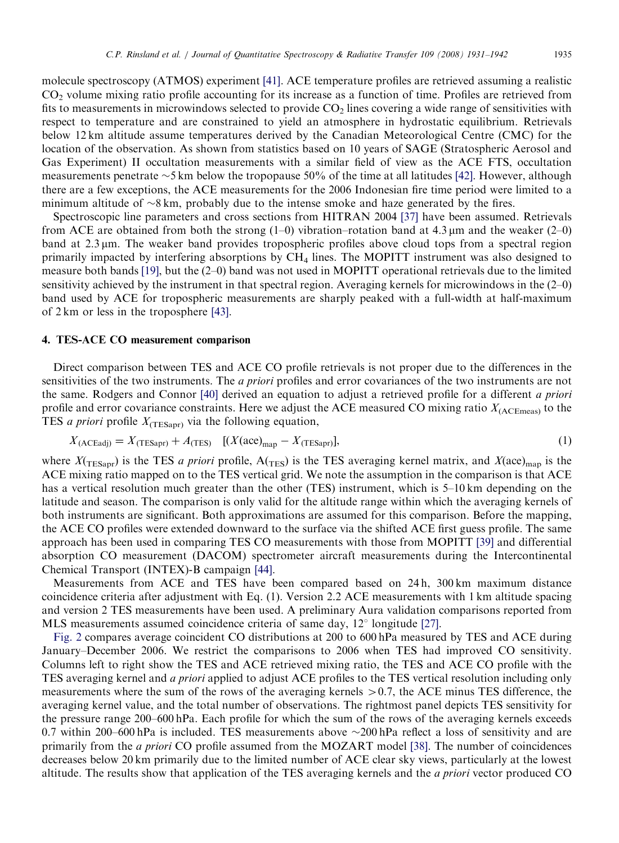molecule spectroscopy (ATMOS) experiment [\[41\].](#page-11-0) ACE temperature profiles are retrieved assuming a realistic CO2 volume mixing ratio profile accounting for its increase as a function of time. Profiles are retrieved from fits to measurements in microwindows selected to provide  $CO<sub>2</sub>$  lines covering a wide range of sensitivities with respect to temperature and are constrained to yield an atmosphere in hydrostatic equilibrium. Retrievals below 12 km altitude assume temperatures derived by the Canadian Meteorological Centre (CMC) for the location of the observation. As shown from statistics based on 10 years of SAGE (Stratospheric Aerosol and Gas Experiment) II occultation measurements with a similar field of view as the ACE FTS, occultation measurements penetrate  $\sim$ 5 km below the tropopause 50% of the time at all latitudes [\[42\]](#page-11-0). However, although there are a few exceptions, the ACE measurements for the 2006 Indonesian fire time period were limited to a minimum altitude of  $\sim 8$  km, probably due to the intense smoke and haze generated by the fires.

Spectroscopic line parameters and cross sections from HITRAN 2004 [\[37\]](#page-11-0) have been assumed. Retrievals from ACE are obtained from both the strong  $(1-0)$  vibration–rotation band at 4.3 µm and the weaker  $(2-0)$ band at  $2.3 \mu$ m. The weaker band provides tropospheric profiles above cloud tops from a spectral region primarily impacted by interfering absorptions by  $CH<sub>4</sub>$  lines. The MOPITT instrument was also designed to measure both bands [\[19\],](#page-10-0) but the (2–0) band was not used in MOPITT operational retrievals due to the limited sensitivity achieved by the instrument in that spectral region. Averaging kernels for microwindows in the (2–0) band used by ACE for tropospheric measurements are sharply peaked with a full-width at half-maximum of 2 km or less in the troposphere [\[43\]](#page-11-0).

# 4. TES-ACE CO measurement comparison

Direct comparison between TES and ACE CO profile retrievals is not proper due to the differences in the sensitivities of the two instruments. The *a priori* profiles and error covariances of the two instruments are not the same. Rodgers and Connor [\[40\]](#page-11-0) derived an equation to adjust a retrieved profile for a different a priori profile and error covariance constraints. Here we adjust the ACE measured CO mixing ratio  $X_{\text{(ACEmeas)}}$  to the TES *a priori* profile  $X_{(TESanr)}$  via the following equation,

$$
X_{\text{(ACEadj)}} = X_{\text{(TESapr)}} + A_{\text{(TES)}} \quad \text{[(}X(\text{ace})_{\text{map}} - X_{\text{(TESapr)}}\text{]},\tag{1}
$$

where  $X(\text{TESapr})$  is the TES *a priori* profile,  $A(\text{TES})$  is the TES averaging kernel matrix, and  $X(\text{ace})_{\text{map}}$  is the ACE mixing ratio mapped on to the TES vertical grid. We note the assumption in the comparison is that ACE has a vertical resolution much greater than the other (TES) instrument, which is 5–10 km depending on the latitude and season. The comparison is only valid for the altitude range within which the averaging kernels of both instruments are significant. Both approximations are assumed for this comparison. Before the mapping, the ACE CO profiles were extended downward to the surface via the shifted ACE first guess profile. The same approach has been used in comparing TES CO measurements with those from MOPITT [\[39\]](#page-11-0) and differential absorption CO measurement (DACOM) spectrometer aircraft measurements during the Intercontinental Chemical Transport (INTEX)-B campaign [\[44\].](#page-11-0)

Measurements from ACE and TES have been compared based on 24 h, 300 km maximum distance coincidence criteria after adjustment with Eq. (1). Version 2.2 ACE measurements with 1 km altitude spacing and version 2 TES measurements have been used. A preliminary Aura validation comparisons reported from MLS measurements assumed coincidence criteria of same day,  $12^{\circ}$  longitude [\[27\]](#page-10-0).

[Fig. 2](#page-5-0) compares average coincident CO distributions at 200 to 600 hPa measured by TES and ACE during January–December 2006. We restrict the comparisons to 2006 when TES had improved CO sensitivity. Columns left to right show the TES and ACE retrieved mixing ratio, the TES and ACE CO profile with the TES averaging kernel and a priori applied to adjust ACE profiles to the TES vertical resolution including only measurements where the sum of the rows of the averaging kernels  $> 0.7$ , the ACE minus TES difference, the averaging kernel value, and the total number of observations. The rightmost panel depicts TES sensitivity for the pressure range 200–600 hPa. Each profile for which the sum of the rows of the averaging kernels exceeds 0.7 within 200–600 hPa is included. TES measurements above  $\sim$  200 hPa reflect a loss of sensitivity and are primarily from the a priori CO profile assumed from the MOZART model [\[38\]](#page-11-0). The number of coincidences decreases below 20 km primarily due to the limited number of ACE clear sky views, particularly at the lowest altitude. The results show that application of the TES averaging kernels and the a priori vector produced CO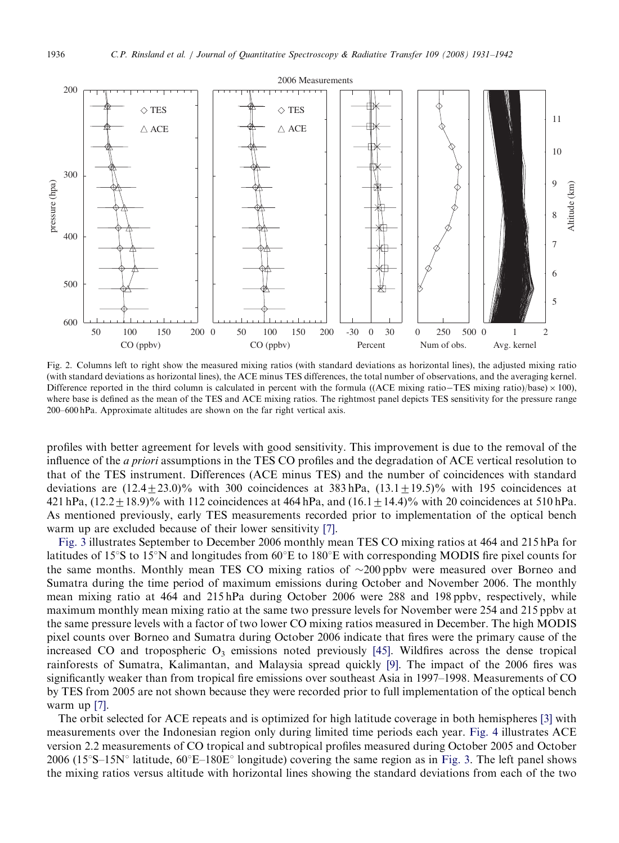<span id="page-5-0"></span>

Fig. 2. Columns left to right show the measured mixing ratios (with standard deviations as horizontal lines), the adjusted mixing ratio (with standard deviations as horizontal lines), the ACE minus TES differences, the total number of observations, and the averaging kernel. Difference reported in the third column is calculated in percent with the formula ((ACE mixing ratio-TES mixing ratio)/base)  $\times$  100). where base is defined as the mean of the TES and ACE mixing ratios. The rightmost panel depicts TES sensitivity for the pressure range 200–600 hPa. Approximate altitudes are shown on the far right vertical axis.

profiles with better agreement for levels with good sensitivity. This improvement is due to the removal of the influence of the a priori assumptions in the TES CO profiles and the degradation of ACE vertical resolution to that of the TES instrument. Differences (ACE minus TES) and the number of coincidences with standard deviations are  $(12.4+23.0)\%$  with 300 coincidences at 383 hPa,  $(13.1+19.5)\%$  with 195 coincidences at 421 hPa,  $(12.2 \pm 18.9)$ % with 112 coincidences at 464 hPa, and  $(16.1 \pm 14.4)$ % with 20 coincidences at 510 hPa. As mentioned previously, early TES measurements recorded prior to implementation of the optical bench warm up are excluded because of their lower sensitivity [\[7\].](#page-10-0)

[Fig. 3](#page-6-0) illustrates September to December 2006 monthly mean TES CO mixing ratios at 464 and 215 hPa for latitudes of 15 $\degree$ S to 15 $\degree$ N and longitudes from 60 $\degree$ E to 180 $\degree$ E with corresponding MODIS fire pixel counts for the same months. Monthly mean TES CO mixing ratios of  $\sim$ 200 ppbv were measured over Borneo and Sumatra during the time period of maximum emissions during October and November 2006. The monthly mean mixing ratio at 464 and 215 hPa during October 2006 were 288 and 198 ppbv, respectively, while maximum monthly mean mixing ratio at the same two pressure levels for November were 254 and 215 ppbv at the same pressure levels with a factor of two lower CO mixing ratios measured in December. The high MODIS pixel counts over Borneo and Sumatra during October 2006 indicate that fires were the primary cause of the increased CO and tropospheric  $O_3$  emissions noted previously [\[45\].](#page-11-0) Wildfires across the dense tropical rainforests of Sumatra, Kalimantan, and Malaysia spread quickly [\[9\].](#page-10-0) The impact of the 2006 fires was significantly weaker than from tropical fire emissions over southeast Asia in 1997–1998. Measurements of CO by TES from 2005 are not shown because they were recorded prior to full implementation of the optical bench warm up [\[7\]](#page-10-0).

The orbit selected for ACE repeats and is optimized for high latitude coverage in both hemispheres [\[3\]](#page-9-0) with measurements over the Indonesian region only during limited time periods each year. [Fig. 4](#page-7-0) illustrates ACE version 2.2 measurements of CO tropical and subtropical profiles measured during October 2005 and October 2006 (15°S–15N° latitude,  $60^{\circ}E-180E^{\circ}$  longitude) covering the same region as in [Fig. 3](#page-6-0). The left panel shows the mixing ratios versus altitude with horizontal lines showing the standard deviations from each of the two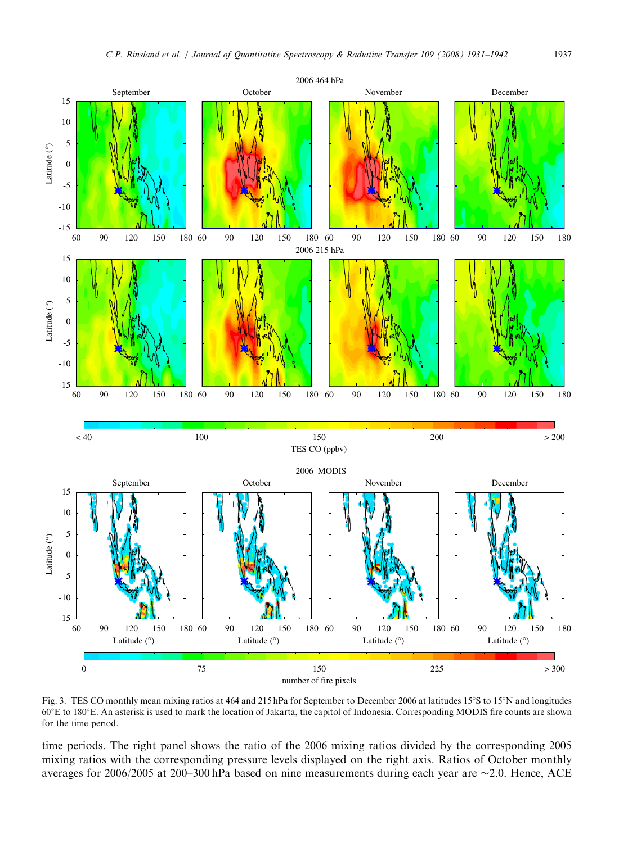<span id="page-6-0"></span>

Fig. 3. TES CO monthly mean mixing ratios at 464 and 215 hPa for September to December 2006 at latitudes 15°S to 15°N and longitudes 601E to 1801E. An asterisk is used to mark the location of Jakarta, the capitol of Indonesia. Corresponding MODIS fire counts are shown for the time period.

time periods. The right panel shows the ratio of the 2006 mixing ratios divided by the corresponding 2005 mixing ratios with the corresponding pressure levels displayed on the right axis. Ratios of October monthly averages for 2006/2005 at 200–300 hPa based on nine measurements during each year are  $\sim$  2.0. Hence, ACE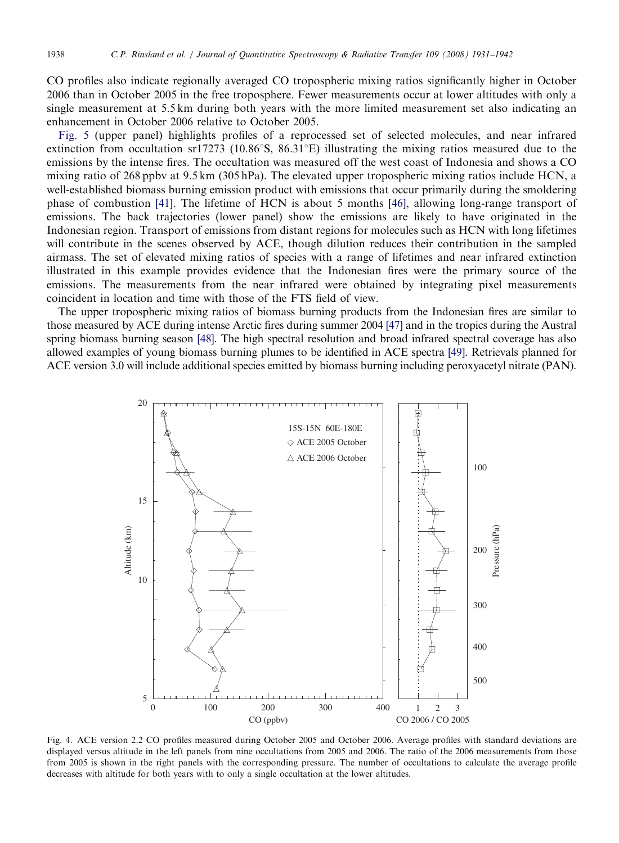<span id="page-7-0"></span>

CO profiles also indicate regionally averaged CO tropospheric mixing ratios significantly higher in October 2006 than in October 2005 in the free troposphere. Fewer measurements occur at lower altitudes with only a single measurement at 5.5 km during both years with the more limited measurement set also indicating an enhancement in October 2006 relative to October 2005.

[Fig. 5](#page-8-0) (upper panel) highlights profiles of a reprocessed set of selected molecules, and near infrared extinction from occultation sr17273 (10.86 $\degree$ S, 86.31 $\degree$ E) illustrating the mixing ratios measured due to the emissions by the intense fires. The occultation was measured off the west coast of Indonesia and shows a CO mixing ratio of 268 ppbv at 9.5 km (305 hPa). The elevated upper tropospheric mixing ratios include HCN, a well-established biomass burning emission product with emissions that occur primarily during the smoldering phase of combustion [\[41\]](#page-11-0). The lifetime of HCN is about 5 months [\[46\]](#page-11-0), allowing long-range transport of emissions. The back trajectories (lower panel) show the emissions are likely to have originated in the Indonesian region. Transport of emissions from distant regions for molecules such as HCN with long lifetimes will contribute in the scenes observed by ACE, though dilution reduces their contribution in the sampled airmass. The set of elevated mixing ratios of species with a range of lifetimes and near infrared extinction illustrated in this example provides evidence that the Indonesian fires were the primary source of the emissions. The measurements from the near infrared were obtained by integrating pixel measurements coincident in location and time with those of the FTS field of view.

The upper tropospheric mixing ratios of biomass burning products from the Indonesian fires are similar to those measured by ACE during intense Arctic fires during summer 2004 [\[47\]](#page-11-0) and in the tropics during the Austral spring biomass burning season [\[48\]](#page-11-0). The high spectral resolution and broad infrared spectral coverage has also allowed examples of young biomass burning plumes to be identified in ACE spectra [\[49\]](#page-11-0). Retrievals planned for ACE version 3.0 will include additional species emitted by biomass burning including peroxyacetyl nitrate (PAN).



Fig. 4. ACE version 2.2 CO profiles measured during October 2005 and October 2006. Average profiles with standard deviations are displayed versus altitude in the left panels from nine occultations from 2005 and 2006. The ratio of the 2006 measurements from those from 2005 is shown in the right panels with the corresponding pressure. The number of occultations to calculate the average profile decreases with altitude for both years with to only a single occultation at the lower altitudes.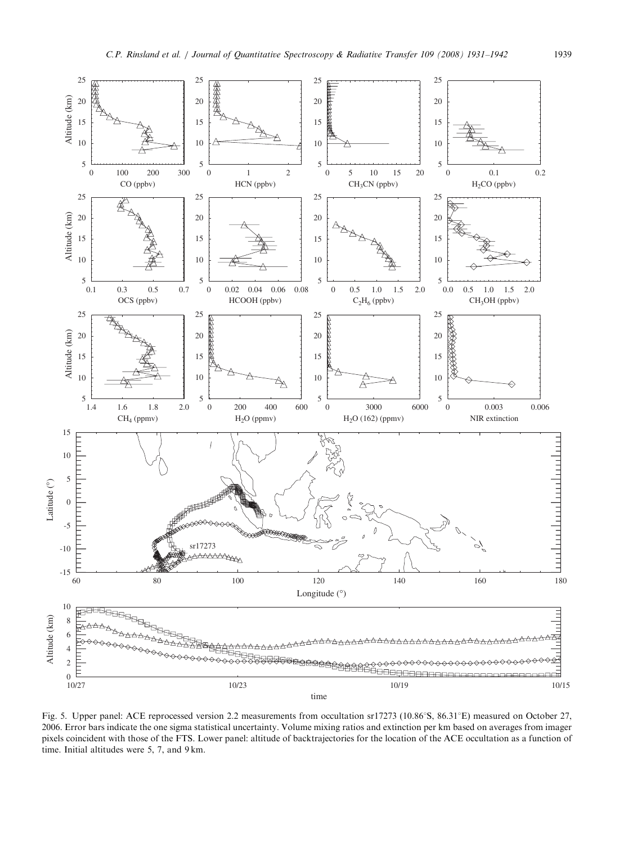<span id="page-8-0"></span>

Fig. 5. Upper panel: ACE reprocessed version 2.2 measurements from occultation sr17273 (10.86°S, 86.31°E) measured on October 27, 2006. Error bars indicate the one sigma statistical uncertainty. Volume mixing ratios and extinction per km based on averages from imager pixels coincident with those of the FTS. Lower panel: altitude of backtrajectories for the location of the ACE occultation as a function of time. Initial altitudes were 5, 7, and 9 km.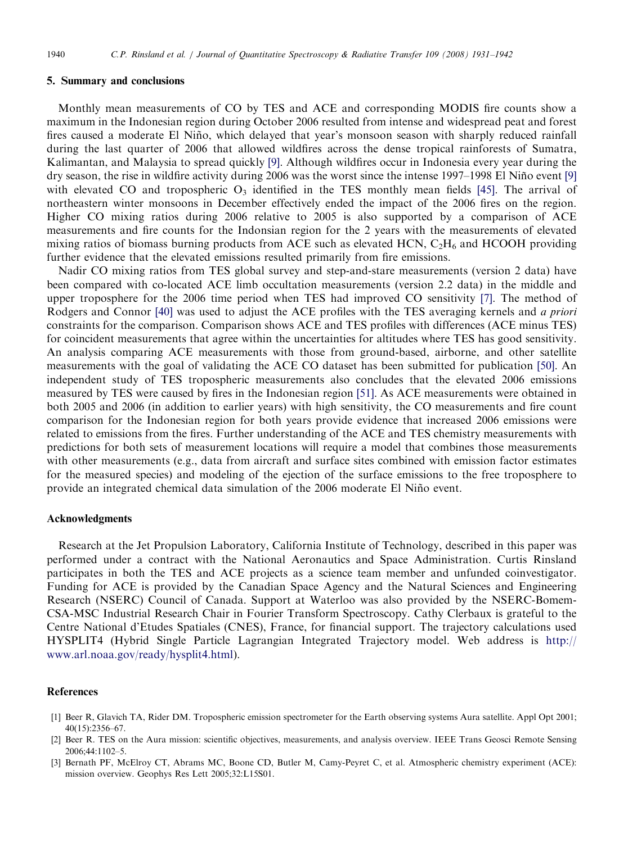#### <span id="page-9-0"></span>5. Summary and conclusions

Monthly mean measurements of CO by TES and ACE and corresponding MODIS fire counts show a maximum in the Indonesian region during October 2006 resulted from intense and widespread peat and forest fires caused a moderate El Niño, which delayed that year's monsoon season with sharply reduced rainfall during the last quarter of 2006 that allowed wildfires across the dense tropical rainforests of Sumatra, Kalimantan, and Malaysia to spread quickly [\[9\]](#page-10-0). Although wildfires occur in Indonesia every year during the dry season, the rise in wildfire activity during 2006 was the worst since the intense 1997–1998 El Niño event [\[9\]](#page-10-0) with elevated CO and tropospheric  $O_3$  identified in the TES monthly mean fields [\[45\]](#page-11-0). The arrival of northeastern winter monsoons in December effectively ended the impact of the 2006 fires on the region. Higher CO mixing ratios during 2006 relative to 2005 is also supported by a comparison of ACE measurements and fire counts for the Indonsian region for the 2 years with the measurements of elevated mixing ratios of biomass burning products from ACE such as elevated HCN,  $C_2H_6$  and HCOOH providing further evidence that the elevated emissions resulted primarily from fire emissions.

Nadir CO mixing ratios from TES global survey and step-and-stare measurements (version 2 data) have been compared with co-located ACE limb occultation measurements (version 2.2 data) in the middle and upper troposphere for the 2006 time period when TES had improved CO sensitivity [\[7\]](#page-10-0). The method of Rodgers and Connor [\[40\]](#page-11-0) was used to adjust the ACE profiles with the TES averaging kernels and a priori constraints for the comparison. Comparison shows ACE and TES profiles with differences (ACE minus TES) for coincident measurements that agree within the uncertainties for altitudes where TES has good sensitivity. An analysis comparing ACE measurements with those from ground-based, airborne, and other satellite measurements with the goal of validating the ACE CO dataset has been submitted for publication [\[50\]](#page-11-0). An independent study of TES tropospheric measurements also concludes that the elevated 2006 emissions measured by TES were caused by fires in the Indonesian region [\[51\]](#page-11-0). As ACE measurements were obtained in both 2005 and 2006 (in addition to earlier years) with high sensitivity, the CO measurements and fire count comparison for the Indonesian region for both years provide evidence that increased 2006 emissions were related to emissions from the fires. Further understanding of the ACE and TES chemistry measurements with predictions for both sets of measurement locations will require a model that combines those measurements with other measurements (e.g., data from aircraft and surface sites combined with emission factor estimates for the measured species) and modeling of the ejection of the surface emissions to the free troposphere to provide an integrated chemical data simulation of the 2006 moderate El Nin˜o event.

#### Acknowledgments

Research at the Jet Propulsion Laboratory, California Institute of Technology, described in this paper was performed under a contract with the National Aeronautics and Space Administration. Curtis Rinsland participates in both the TES and ACE projects as a science team member and unfunded coinvestigator. Funding for ACE is provided by the Canadian Space Agency and the Natural Sciences and Engineering Research (NSERC) Council of Canada. Support at Waterloo was also provided by the NSERC-Bomem-CSA-MSC Industrial Research Chair in Fourier Transform Spectroscopy. Cathy Clerbaux is grateful to the Centre National d'Etudes Spatiales (CNES), France, for financial support. The trajectory calculations used HYSPLIT4 (Hybrid Single Particle Lagrangian Integrated Trajectory model. Web address is [http://](http://www.arl.noaa.gov/ready/hysplit4.html) [www.arl.noaa.gov/ready/hysplit4.html](http://www.arl.noaa.gov/ready/hysplit4.html)).

# References

- [1] Beer R, Glavich TA, Rider DM. Tropospheric emission spectrometer for the Earth observing systems Aura satellite. Appl Opt 2001; 40(15):2356–67.
- [2] Beer R. TES on the Aura mission: scientific objectives, measurements, and analysis overview. IEEE Trans Geosci Remote Sensing 2006;44:1102–5.
- [3] Bernath PF, McElroy CT, Abrams MC, Boone CD, Butler M, Camy-Peyret C, et al. Atmospheric chemistry experiment (ACE): mission overview. Geophys Res Lett 2005;32:L15S01.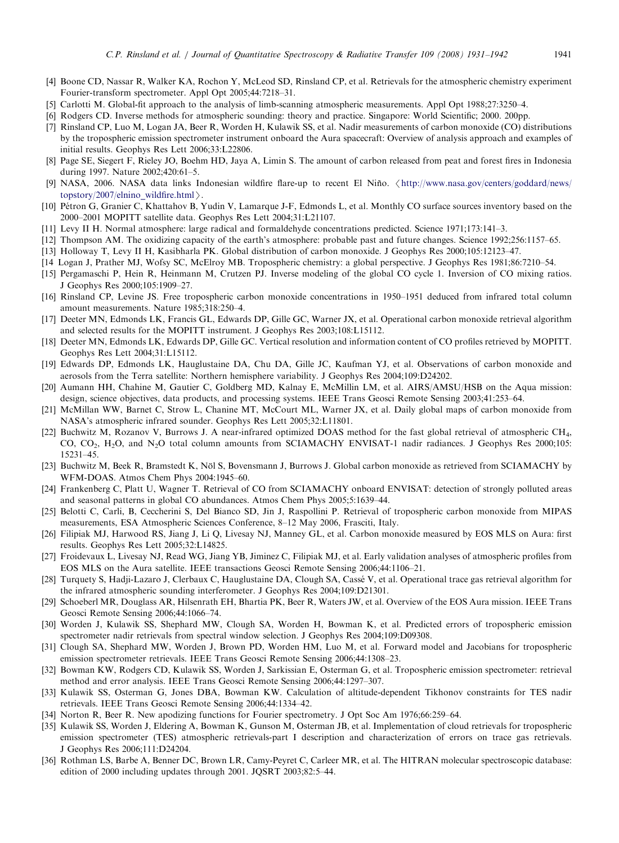- <span id="page-10-0"></span>[4] Boone CD, Nassar R, Walker KA, Rochon Y, McLeod SD, Rinsland CP, et al. Retrievals for the atmospheric chemistry experiment Fourier-transform spectrometer. Appl Opt 2005;44:7218–31.
- [5] Carlotti M. Global-fit approach to the analysis of limb-scanning atmospheric measurements. Appl Opt 1988;27:3250–4.
- [6] Rodgers CD. Inverse methods for atmospheric sounding: theory and practice. Singapore: World Scientific; 2000. 200pp.
- [7] Rinsland CP, Luo M, Logan JA, Beer R, Worden H, Kulawik SS, et al. Nadir measurements of carbon monoxide (CO) distributions by the tropospheric emission spectrometer instrument onboard the Aura spacecraft: Overview of analysis approach and examples of initial results. Geophys Res Lett 2006;33:L22806.
- [8] Page SE, Siegert F, Rieley JO, Boehm HD, Jaya A, Limin S. The amount of carbon released from peat and forest fires in Indonesia during 1997. Nature 2002;420:61–5.
- [9] NASA, 2006. NASA data links Indonesian wildfire flare-up to recent El Niño.  $\frac{\text{http://www.nasa.gov/centers/goddard/news/}}{\text{http://www.nasa.gov/centers/goddard/news/}}$  $\frac{\text{http://www.nasa.gov/centers/goddard/news/}}{\text{http://www.nasa.gov/centers/goddard/news/}}$  $\frac{\text{http://www.nasa.gov/centers/goddard/news/}}{\text{http://www.nasa.gov/centers/goddard/news/}}$ [topstory/2007/elnino\\_wildfire.html](http://www.nasa.gov/centers/goddard/news/topstory/2007/elnino_wildfire.html) $\angle$ .
- [10] Pétron G, Granier C, Khattahov B, Yudin V, Lamarque J-F, Edmonds L, et al. Monthly CO surface sources inventory based on the 2000–2001 MOPITT satellite data. Geophys Res Lett 2004;31:L21107.
- [11] Levy II H. Normal atmosphere: large radical and formaldehyde concentrations predicted. Science 1971;173:141–3.
- [12] Thompson AM. The oxidizing capacity of the earth's atmosphere: probable past and future changes. Science 1992;256:1157–65.
- [13] Holloway T, Levy II H, Kasibharla PK. Global distribution of carbon monoxide. J Geophys Res 2000;105:12123–47.
- [14 Logan J, Prather MJ, Wofsy SC, McElroy MB. Tropospheric chemistry: a global perspective. J Geophys Res 1981;86:7210–54.
- [15] Pergamaschi P, Hein R, Heinmann M, Crutzen PJ. Inverse modeling of the global CO cycle 1. Inversion of CO mixing ratios. J Geophys Res 2000;105:1909–27.
- [16] Rinsland CP, Levine JS. Free tropospheric carbon monoxide concentrations in 1950–1951 deduced from infrared total column amount measurements. Nature 1985;318:250–4.
- [17] Deeter MN, Edmonds LK, Francis GL, Edwards DP, Gille GC, Warner JX, et al. Operational carbon monoxide retrieval algorithm and selected results for the MOPITT instrument. J Geophys Res 2003;108:L15112.
- [18] Deeter MN, Edmonds LK, Edwards DP, Gille GC. Vertical resolution and information content of CO profiles retrieved by MOPITT. Geophys Res Lett 2004;31:L15112.
- [19] Edwards DP, Edmonds LK, Hauglustaine DA, Chu DA, Gille JC, Kaufman YJ, et al. Observations of carbon monoxide and aerosols from the Terra satellite: Northern hemisphere variability. J Geophys Res 2004;109:D24202.
- [20] Aumann HH, Chahine M, Gautier C, Goldberg MD, Kalnay E, McMillin LM, et al. AIRS/AMSU/HSB on the Aqua mission: design, science objectives, data products, and processing systems. IEEE Trans Geosci Remote Sensing 2003;41:253–64.
- [21] McMillan WW, Barnet C, Strow L, Chanine MT, McCourt ML, Warner JX, et al. Daily global maps of carbon monoxide from NASA's atmospheric infrared sounder. Geophys Res Lett 2005;32:L11801.
- [22] Buchwitz M, Rozanov V, Burrows J. A near-infrared optimized DOAS method for the fast global retrieval of atmospheric CH4, CO, CO<sub>2</sub>, H<sub>2</sub>O, and N<sub>2</sub>O total column amounts from SCIAMACHY ENVISAT-1 nadir radiances. J Geophys Res 2000;105: 15231–45.
- [23] Buchwitz M, Beek R, Bramstedt K, Nöl S, Bovensmann J, Burrows J. Global carbon monoxide as retrieved from SCIAMACHY by WFM-DOAS. Atmos Chem Phys 2004:1945–60.
- [24] Frankenberg C, Platt U, Wagner T. Retrieval of CO from SCIAMACHY onboard ENVISAT: detection of strongly polluted areas and seasonal patterns in global CO abundances. Atmos Chem Phys 2005;5:1639–44.
- [25] Belotti C, Carli, B, Ceccherini S, Del Bianco SD, Jin J, Raspollini P. Retrieval of tropospheric carbon monoxide from MIPAS measurements, ESA Atmospheric Sciences Conference, 8–12 May 2006, Frasciti, Italy.
- [26] Filipiak MJ, Harwood RS, Jiang J, Li Q, Livesay NJ, Manney GL, et al. Carbon monoxide measured by EOS MLS on Aura: first results. Geophys Res Lett 2005;32:L14825.
- [27] Froidevaux L, Livesay NJ, Read WG, Jiang YB, Jiminez C, Filipiak MJ, et al. Early validation analyses of atmospheric profiles from EOS MLS on the Aura satellite. IEEE transactions Geosci Remote Sensing 2006;44:1106–21.
- [28] Turquety S, Hadji-Lazaro J, Clerbaux C, Hauglustaine DA, Clough SA, Casse´ V, et al. Operational trace gas retrieval algorithm for the infrared atmospheric sounding interferometer. J Geophys Res 2004;109:D21301.
- [29] Schoeberl MR, Douglass AR, Hilsenrath EH, Bhartia PK, Beer R, Waters JW, et al. Overview of the EOS Aura mission. IEEE Trans Geosci Remote Sensing 2006;44:1066–74.
- [30] Worden J, Kulawik SS, Shephard MW, Clough SA, Worden H, Bowman K, et al. Predicted errors of tropospheric emission spectrometer nadir retrievals from spectral window selection. J Geophys Res 2004;109:D09308.
- [31] Clough SA, Shephard MW, Worden J, Brown PD, Worden HM, Luo M, et al. Forward model and Jacobians for tropospheric emission spectrometer retrievals. IEEE Trans Geosci Remote Sensing 2006;44:1308–23.
- [32] Bowman KW, Rodgers CD, Kulawik SS, Worden J, Sarkissian E, Osterman G, et al. Tropospheric emission spectrometer: retrieval method and error analysis. IEEE Trans Geosci Remote Sensing 2006;44:1297–307.
- [33] Kulawik SS, Osterman G, Jones DBA, Bowman KW. Calculation of altitude-dependent Tikhonov constraints for TES nadir retrievals. IEEE Trans Geosci Remote Sensing 2006;44:1334–42.
- [34] Norton R, Beer R. New apodizing functions for Fourier spectrometry. J Opt Soc Am 1976;66:259–64.
- [35] Kulawik SS, Worden J, Eldering A, Bowman K, Gunson M, Osterman JB, et al. Implementation of cloud retrievals for tropospheric emission spectrometer (TES) atmospheric retrievals-part I description and characterization of errors on trace gas retrievals. J Geophys Res 2006;111:D24204.
- [36] Rothman LS, Barbe A, Benner DC, Brown LR, Camy-Peyret C, Carleer MR, et al. The HITRAN molecular spectroscopic database: edition of 2000 including updates through 2001. JQSRT 2003;82:5–44.